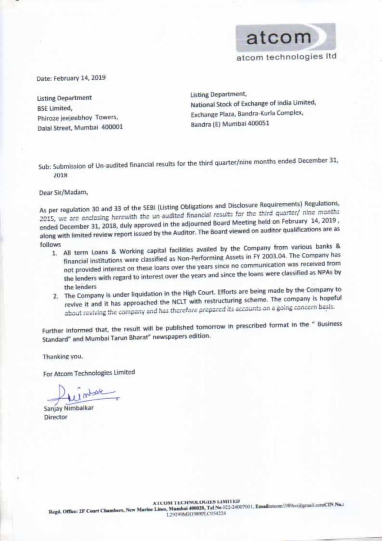

atcom technologies Itd

Date: February 14, 2019

**Listing Department BSE Limited,** Phiroze jeejeebhoy Towers, Dalal Street, Mumbai 400001 **Listing Department,** National Stock of Exchange of India Limited, Exchange Plaza, Bandra-Kurla Complex, Bandra (E) Mumbai 400051

Sub: Submission of Un-audited financial results for the third quarter/nine months ended December 31, 2018

Dear Sir/Madam,

As per regulation 30 and 33 of the SEBI (Listing Obligations and Disclosure Requirements) Regulations, 2015, we are enclosing herewith the un-audited financial results for the third quarter/ nine months ended December 31, 2018, duly approved in the adjourned Board Meeting held on February 14, 2019, along with limited review report issued by the Auditor. The Board viewed on auditor qualifications are as follows

- 1. All term Loans & Working capital facilities availed by the Company from various banks & financial institutions were classified as Non-Performing Assets in FY 2003.04. The Company has not provided interest on these loans over the years since no communication was received from the lenders with regard to interest over the years and since the loans were classified as NPAs by the lenders
- 2. The Company is under liquidation in the High Court. Efforts are being made by the Company to revive it and it has approached the NCLT with restructuring scheme. The company is hopeful about reviving the company and has therefore prepared its accounts on a going concern basis.

Further informed that, the result will be published tomorrow in prescribed format in the " Business Standard" and Mumbai Tarun Bharat" newspapers edition.

Thanking you.

For Atcom Technologies Limited

1 mbar

Sanjay Nimbalkar Director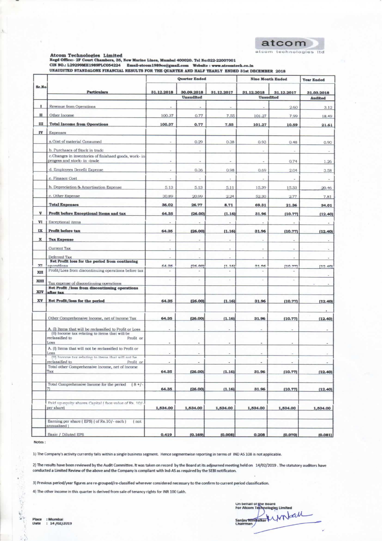

Atcom Technologies Limited<br>Regd Office: 2F Court Chambers, 35, New Marine Lines, Mumbai 400020. Tel No:022-22007001<br>CIN NO.: L29299MH1989PLC054224 Email-atcom1989co@gmail.com Website : www.atcomtech.co.in<br>UNAUDITED STANDAL

| Sr.No                     | <b>Particulars</b>                                                                                         | <b>Quarter Ended</b>     |                          |                | <b>Nine Month Ended</b> |                | <b>Year Ended</b> |
|---------------------------|------------------------------------------------------------------------------------------------------------|--------------------------|--------------------------|----------------|-------------------------|----------------|-------------------|
|                           |                                                                                                            | 31.12.2018               | 30.09.2018<br>Unaudited  | 31.12.2017     | 31.12.2018<br>Unaudited | 31.12.2017     | 31.03.2018        |
|                           |                                                                                                            |                          |                          |                |                         |                | <b>Audited</b>    |
| 1                         | Revenue from Operations                                                                                    | ä,                       |                          |                |                         | 2.60           | 3.12              |
| п                         | Other Income                                                                                               | 100.37                   | 0.77                     | 7.55           | 101.27                  | 7.99           | 18.49             |
| ш                         | <b>Total Income from Operations</b>                                                                        | 100.37                   | 0.77                     | 7.55           | 101.27                  | 10.59          | 21.61             |
| IV                        | Expenses                                                                                                   |                          |                          |                |                         |                |                   |
|                           | a.Cost of material Consumed                                                                                | ¥,                       | 0.29                     | 0.38           | 0.93                    | 0.48           | 0.90              |
|                           | b. Purchases of Stock in trade                                                                             | $\sim$                   | $\sim$                   |                | $\sim$                  | $\sim$         |                   |
|                           | c.Changes in inventories of finishaed goods, work- in<br>progess and stock- in -trade                      | ÷                        | ×                        | $\overline{a}$ |                         | 0.74           | 1.26              |
|                           | d. Employees Benefit Expense                                                                               | ×                        | 0.36                     | 0.98           | 0.69                    | 2.04           | 3.58              |
|                           | e. Finance Cost                                                                                            |                          |                          |                |                         |                |                   |
|                           | b. Depreciation & Amortisation Expense                                                                     | 5.13                     | 5.13                     | 5.11           | 15.39                   | 15.33          | 20.46             |
|                           | c. Other Expense                                                                                           | 30.89                    | 20.99                    | 2.24           | 52.30                   | 2.77           | 7.81              |
|                           | <b>Total Expenses</b>                                                                                      | 36.02                    | 26.77                    | 8.71           | 69.31                   | 21.36          | 34.01             |
| $\boldsymbol{\mathrm{v}}$ | Profit before Exceptional Items and tax                                                                    | 64.35                    | (26.00)                  | (1.16)         | 31.96                   | (10.77)        | (12.40)           |
| VI                        | Exceptional items                                                                                          | $\overline{\phantom{a}}$ | $\overline{\phantom{a}}$ |                |                         | $\overline{a}$ |                   |
| IX                        | <b>Profit before tax</b>                                                                                   | 64.35                    | (26.00)                  | (1.16)         | 31.96                   | (10.77)        | (12.40)           |
| x                         | <b>Tax Expense</b>                                                                                         | ÷                        |                          |                |                         |                |                   |
|                           | Current Tax                                                                                                |                          |                          |                |                         |                |                   |
|                           | Deferred Tax                                                                                               |                          |                          |                |                         |                |                   |
| XI.                       | Net Profit loss for the period from continuing<br>operations                                               | 64.35                    | 126.001                  | (1, 16)        | 2105                    | (10.77)        | (12.40)           |
| XII                       | Profit/Loss from discontinuing operations before tax                                                       |                          |                          |                |                         |                |                   |
| XIII                      |                                                                                                            |                          |                          |                |                         |                |                   |
| XIV                       | Tax expense of discontinuing operations<br>Net Profit /loss from discontinuing operations<br>after tax     |                          |                          |                |                         |                |                   |
| XV                        |                                                                                                            |                          |                          |                |                         |                |                   |
|                           | Net Profit/loss for the period                                                                             | 64.35                    | (26.00)                  | (1.16)         | 31.96                   | (10.77)        | (12.40)           |
|                           |                                                                                                            |                          |                          |                |                         |                |                   |
|                           | Other Comprehensive Income, net of Income Tax                                                              | 64.35                    | (26.00)                  | (1.16)         | 31.96                   | (10.77)        | (12.40)           |
|                           | A. (I) Items that will be reclassified to Profit or Loss<br>(ii) income tax relating to items that will be |                          |                          |                |                         |                |                   |
|                           | reclassified to<br>Profit or                                                                               |                          |                          |                |                         |                |                   |
|                           | Loss<br>A. (I) Items that will not be reclassified to Profit or                                            |                          |                          | $\sim$         | ٠                       | ٠              |                   |
|                           | Loss<br>(II) Income tax relating to items that will not be                                                 |                          |                          |                |                         |                |                   |
|                           | reclassified to<br>Profit or                                                                               |                          |                          |                |                         |                |                   |
|                           | Total other Comprehensive Income, net of Income<br>Tax                                                     | 64.35                    | (26.00)                  | (1.16)         | 31.96                   | (10.77)        | (12.40)           |
|                           |                                                                                                            |                          |                          |                |                         |                |                   |
|                           | Total Comprehensive Income for the period<br>$(8 +/-$<br>71                                                | 64.35                    | (26.00)                  | (1.16)         | 31.96                   | (10.77)        | (12.40)           |
|                           | Paid up equity shares Capital (face value of Rs. 10/-<br>per share)                                        | 1,534.00                 | 1,534.00                 | 1,534.00       | 1,534.00                | 1,534.00       | 1,534.00          |
|                           |                                                                                                            |                          |                          |                |                         |                |                   |
|                           | Earning per share (EPS) (of Rs.10/-each)<br>$($ not<br>annualised)                                         |                          |                          |                |                         |                |                   |
|                           | Basic / Diluted EPS                                                                                        | 0.419                    | 10.1691                  | 10.0081        | 0.208                   | (0.070)        | 10.08             |

Notes :

Ų

1) The Company's activity currently talls within a single business segment. Hence segmentwise reporting in terms of IND AS 108 is not applicable.

2) The results have been reviewed by the Audit Committee. It was taken on record by the Board at its adjourned meeting held on 14/02/2019 . The statutory auditors have conducted a Limited Review of the above and the Company is compliant with Ind-AS as required by the SEBI notificaton.

3) Previous period/year figures are re-grouped/re-classified wherever considered necessary to the confirm to current period classification.

4) The other income in this quarter is derived from sale of tenancy rights for INR 100 Lakh.

Un behalf of the Board<br>For Atcom Technologies Limited Sanjay Nimpalkar & WILCUL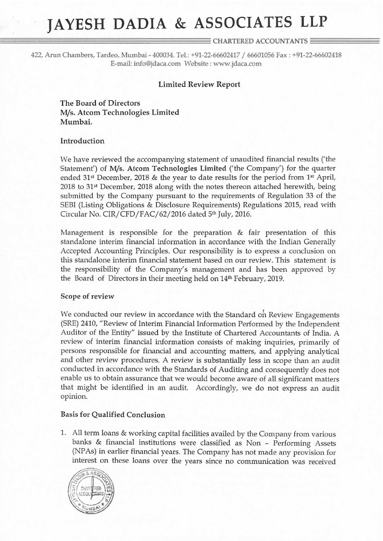# JAYESH DADIA & ASSOCIATES LLP

# $\equiv$  CHARTERED ACCOUNTANTS  $\equiv$

422, Arun Chambers, Tardeo, Mumbai - 400034, Tel: +91»22—66602417 / <sup>66601056</sup> Fax : +91-22—66602418 E-mail: info@jdaca.com Website : www.jdaca.c0m

# Limited Review Report

The Board of Directors M/s. Atcom Technologies Limited Mumbai.

### Introduction

We have reviewed the accompanying statement of unaudited financial results ('the Statement') of M/s. Atcom Technologies Limited ('the Company') for the quarter ended  $31<sup>st</sup>$  December, 2018 & the year to date results for the period from  $1<sup>st</sup>$  April,  $2018$  to 31<sup>st</sup> December, 2018 along with the notes thereon attached herewith, being submitted by the Company pursuant to the requirements of Regulation <sup>33</sup> of the SEBI (Listing Obligations & Disclosure Requirements) Regulations 2015, read with Circular No. CIR/CFD/FAC/62/ <sup>2016</sup> dated 5'h July, 2016.

Management is responsible for the preparation & fair presentation of this standalone interim financial information in accordance with the Indian Generally Accepted Accounting Principles. Our responsibility is to express a conclusion on this standalone interim financial statement based on our review. This statement is the responsibility of the Company's management and has been approved by the Board of Directors in their meeting held on 14<sup>th</sup> February, 2019.

#### Scope of review

We conducted our review in accordance with the Standard on Review Engagements (SRE) 2410, "Review of Interim Financial Information Performed by the Independent Auditor of the Entity" issued by the Institute of Chartered Accountants of India. A review of interim financial information consists of making inquiries, primarily of persons responsible for financial and accounting matters, and applying analytical and other review procedures. A review is substantially less in scope than an audit conducted in accordance with the Standards of Auditing and consequently does not enable us to obtain assurance that we would become aware of all significant matters that might be identified in an audit. Accordingly, we do not express an audit opinion.

#### Basis for Qualified Conclusion

1. All term loans & working capital facilities availed by the Company from various banks & financial institutions were classified as Non — Performing Assets (NPAs) in earlier financial years. The Company has not made any provision for interest on these loans over the years since no communication was received